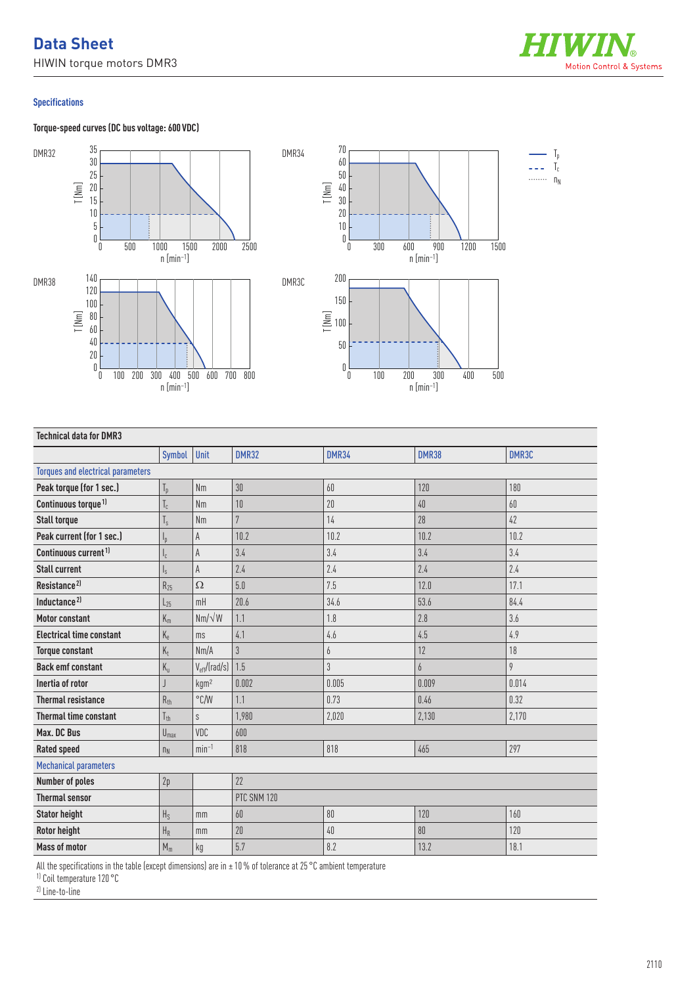## **Data Sheet**

HIWIN torque motors DMR3



 $\mathbb{I}_{\mathbb{I}}$  $T_c$ 

## **Specifications**

**Torque-speed curves (DC bus voltage: 600 VDC)**





| <b>Technical data for DMR3</b>           |                 |                   |                |                |              |       |
|------------------------------------------|-----------------|-------------------|----------------|----------------|--------------|-------|
|                                          | Symbol          | Unit              | <b>DMR32</b>   | <b>DMR34</b>   | <b>DMR38</b> | DMR3C |
| <b>Torques and electrical parameters</b> |                 |                   |                |                |              |       |
| Peak torque (for 1 sec.)                 | $T_{p}$         | <b>Nm</b>         | 30             | 60             | 120          | 180   |
| Continuous torque <sup>1)</sup>          | $T_c$           | <b>Nm</b>         | 10             | 20             | 40           | 60    |
| <b>Stall torque</b>                      | $T_{s}$         | <b>Nm</b>         | $\overline{7}$ | 14             | 28           | 42    |
| Peak current (for 1 sec.)                | ı,              | A                 | 10.2           | 10.2           | 10.2         | 10.2  |
| Continuous current <sup>1)</sup>         | ı.              | A                 | 3.4            | 3.4            | 3.4          | 3.4   |
| <b>Stall current</b>                     | Ιs              | A                 | 2.4            | 2.4            | 2.4          | 2.4   |
| Resistance <sup>2)</sup>                 | $R_{25}$        | Ω                 | 5.0            | 7.5            | 12.0         | 17.1  |
| Inductance <sup>2)</sup>                 | $L_{25}$        | mH                | 20.6           | 34.6           | 53.6         | 84.4  |
| <b>Motor constant</b>                    | $K_m$           | $Nm/\sqrt{W}$     | 1.1            | 1.8            | 2.8          | 3.6   |
| <b>Electrical time constant</b>          | $K_e$           | ms                | 4.1            | 4.6            | 4.5          | 4.9   |
| <b>Torque constant</b>                   | $K_t$           | Nm/A              | 3              | 6              | 12           | 18    |
| <b>Back emf constant</b>                 | $K_{u}$         | $V_{eff}/(rad/s)$ | 1.5            | $\mathfrak{Z}$ | 6            | 9     |
| Inertia of rotor                         |                 | kgm <sup>2</sup>  | 0.002          | 0.005          | 0.009        | 0.014 |
| <b>Thermal resistance</b>                | $R_{th}$        | $\degree$ C/W     | 1.1            | 0.73           | 0.46         | 0.32  |
| <b>Thermal time constant</b>             | $T_{\text{th}}$ | S                 | 1,980          | 2.020          | 2.130        | 2,170 |
| Max. DC Bus                              | $U_{max}$       | VDC               | 600            |                |              |       |
| <b>Rated speed</b>                       | $n_{N}$         | $min-1$           | 818            | 818            | 465          | 297   |
| <b>Mechanical parameters</b>             |                 |                   |                |                |              |       |
| <b>Number of poles</b>                   | 2p              |                   | 22             |                |              |       |
| <b>Thermal sensor</b>                    |                 |                   | PTC SNM 120    |                |              |       |
| <b>Stator height</b>                     | $H_S$           | mm                | 60             | 80             | 120          | 160   |
| Rotor height                             | $H_R$           | mm                | 20             | $40\,$         | 80           | 120   |
| <b>Mass of motor</b>                     | $M_m$           | kg                | 5.7            | 8.2            | 13.2         | 18.1  |

All the specifications in the table (except dimensions) are in ± 10% of tolerance at 25°C ambient temperature

1) Coil temperature 120 °C

2) Line-to-line